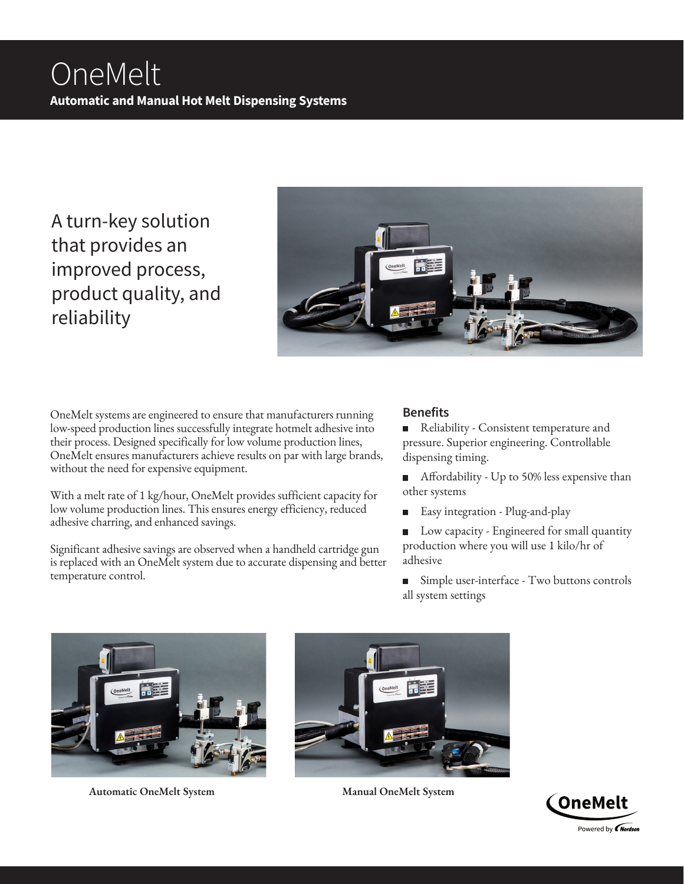A turn-key solution that provides an improved process, product quality, and reliability



OneMelt systems are engineered to ensure that manufacturers running low-speed production lines successfully integrate hotmelt adhesive into their process. Designed specifically for low volume production lines, OneMelt ensures manufacturers achieve results on par with large brands, without the need for expensive equipment.

With a melt rate of 1 kg/hour, OneMelt provides sufficient capacity for low volume production lines. This ensures energy efficiency, reduced adhesive charring, and enhanced savings.

Significant adhesive savings are observed when a handheld cartridge gun is replaced with an OneMelt system due to accurate dispensing and better temperature control.

## **Benefits**

Reliability - Consistent temperature and pressure. Superior engineering. Controllable dispensing timing.

- Affordability Up to 50% less expensive than other systems
- Easy integration Plug-and-play
- $\blacksquare$ Low capacity - Engineered for small quantity production where you will use 1 kilo/hr of adhesive
- Simple user-interface Two buttons controls all system settings



**Automatic OneMelt System Manual OneMelt System**



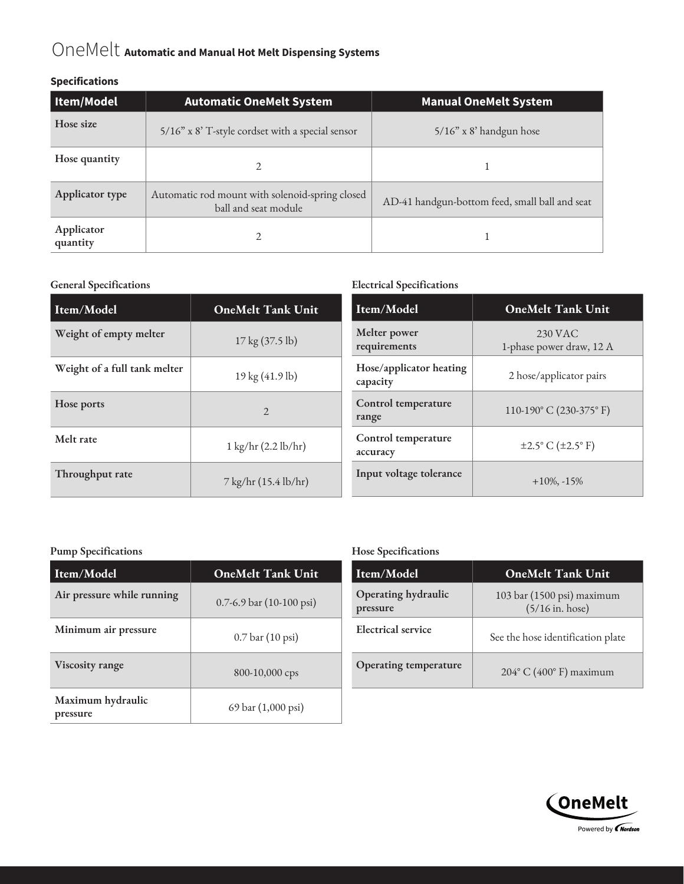# OneMelt **Automatic and Manual Hot Melt Dispensing Systems**

#### **Specifications**

| Item/Model             | <b>Automatic OneMelt System</b>                                         | <b>Manual OneMelt System</b>                   |
|------------------------|-------------------------------------------------------------------------|------------------------------------------------|
| Hose size              | 5/16" x 8' T-style cordset with a special sensor                        | $5/16$ " x 8' handgun hose                     |
| Hose quantity          |                                                                         |                                                |
| Applicator type        | Automatic rod mount with solenoid-spring closed<br>ball and seat module | AD-41 handgun-bottom feed, small ball and seat |
| Applicator<br>quantity |                                                                         |                                                |

#### **General Specifications Electrical Specifications**

| Item/Model                   | <b>OneMelt Tank Unit</b>              | Item/Model                          | <b>OneMelt Tank Unit</b>                    |
|------------------------------|---------------------------------------|-------------------------------------|---------------------------------------------|
| Weight of empty melter       | $17 \text{ kg} (37.5 \text{ lb})$     | Melter power<br>requirements        | 230 VAC<br>1-phase power draw, 12 A         |
| Weight of a full tank melter | 19 kg (41.9 lb)                       | Hose/applicator heating<br>capacity | 2 hose/applicator pairs                     |
| Hose ports                   | $\overline{2}$                        | Control temperature<br>range        | 110-190 $^{\circ}$ C (230-375 $^{\circ}$ F) |
| Melt rate                    | $1 \text{ kg/hr} (2.2 \text{ lb/hr})$ | Control temperature<br>accuracy     | $\pm 2.5^{\circ}$ C ( $\pm 2.5^{\circ}$ F)  |
| Throughput rate              | 7 kg/hr (15.4 lb/hr)                  | Input voltage tolerance             | $+10\%,-15\%$                               |

#### **Pump Specifications**

| Item/Model                    | <b>OneMelt Tank Unit</b>     |  |
|-------------------------------|------------------------------|--|
| Air pressure while running    | $0.7-6.9$ bar $(10-100$ psi) |  |
| Minimum air pressure          | 0.7 bar (10 psi)             |  |
| Viscosity range               | 800-10,000 cps               |  |
| Maximum hydraulic<br>pressure | 69 bar (1,000 psi)           |  |

#### **Hose Specifications**

| Item/Model                      | <b>OneMelt Tank Unit</b>                        |
|---------------------------------|-------------------------------------------------|
| Operating hydraulic<br>pressure | 103 bar (1500 psi) maximum<br>$(5/16$ in. hose) |
| Electrical service              | See the hose identification plate               |
| Operating temperature           | $204^{\circ}$ C (400°F) maximum                 |